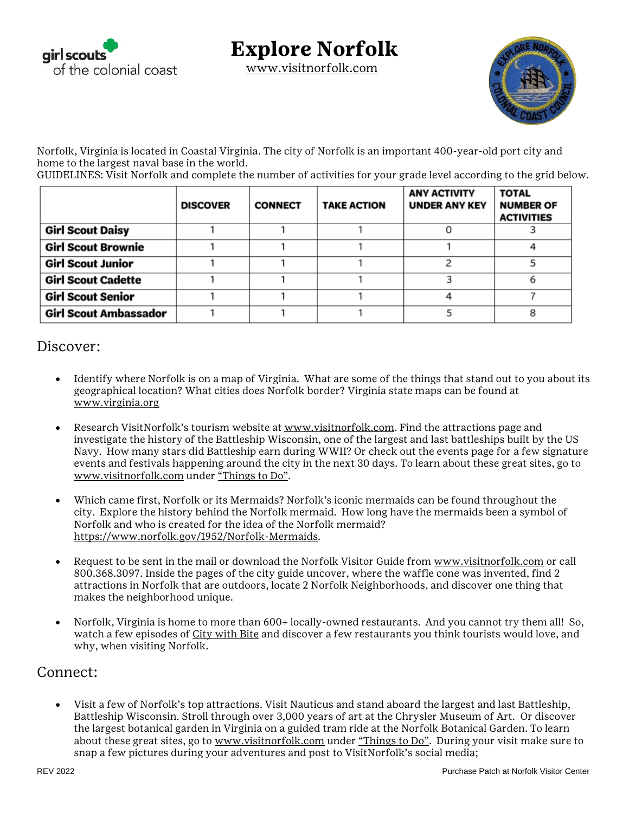

## **Explore Norfolk**

[www.visitnorfolk.com](http://www.visitnorfolk.com/)



Norfolk, Virginia is located in Coastal Virginia. The city of Norfolk is an important 400-year-old port city and home to the largest naval base in the world.

GUIDELINES: Visit Norfolk and complete the number of activities for your grade level according to the grid below.

|                              | <b>DISCOVER</b> | <b>CONNECT</b> | <b>TAKE ACTION</b> | <b>ANY ACTIVITY</b><br><b>UNDER ANY KEY</b> | <b>TOTAL</b><br><b>NUMBER OF</b><br><b>ACTIVITIES</b> |
|------------------------------|-----------------|----------------|--------------------|---------------------------------------------|-------------------------------------------------------|
| <b>Girl Scout Daisy</b>      |                 |                |                    |                                             |                                                       |
| <b>Girl Scout Brownie</b>    |                 |                |                    |                                             |                                                       |
| <b>Girl Scout Junior</b>     |                 |                |                    |                                             |                                                       |
| <b>Girl Scout Cadette</b>    |                 |                |                    |                                             |                                                       |
| <b>Girl Scout Senior</b>     |                 |                |                    |                                             |                                                       |
| <b>Girl Scout Ambassador</b> |                 |                |                    |                                             |                                                       |

#### Discover:

- Identify where Norfolk is on a map of Virginia. What are some of the things that stand out to you about its geographical location? What cities does Norfolk border? Virginia state maps can be found at [www.virginia.org](http://www.virginia.org/)
- Research VisitNorfolk's tourism website at [www.visitnorfolk.com.](http://www.visitnorfolk.com/) Find the attractions page and investigate the history of the Battleship Wisconsin, one of the largest and last battleships built by the US Navy. How many stars did Battleship earn during WWII? Or check out the events page for a few signature events and festivals happening around the city in the next 30 days. To learn about these great sites, go to [www.visitnorfolk.com](http://www.visitnorfolk.com/) under ["Things to Do"](https://www.visitnorfolk.com/things-to-do/).
- Which came first, Norfolk or its Mermaids? Norfolk's iconic mermaids can be found throughout the city. Explore the history behind the Norfolk mermaid. How long have the mermaids been a symbol of Norfolk and who is created for the idea of the Norfolk mermaid? [https://www.norfolk.gov/1952/Norfolk-Mermaids.](https://www.norfolk.gov/1952/Norfolk-Mermaids)
- Request to be sent in the mail or download the Norfolk Visitor Guide from [www.visitnorfolk.com](http://www.visitnorfolk.com/) or call 800.368.3097. Inside the pages of the city guide uncover, where the waffle cone was invented, find 2 attractions in Norfolk that are outdoors, locate 2 Norfolk Neighborhoods, and discover one thing that makes the neighborhood unique.
- Norfolk, Virginia is home to more than 600+ locally-owned restaurants. And you cannot try them all! So, watch a few episodes of [City with Bite](https://www.citywithbite.com/) and discover a few restaurants you think tourists would love, and why, when visiting Norfolk.

#### Connect:

 Visit a few of Norfolk's top attractions. Visit Nauticus and stand aboard the largest and last Battleship, Battleship Wisconsin. Stroll through over 3,000 years of art at the Chrysler Museum of Art. Or discover the largest botanical garden in Virginia on a guided tram ride at the Norfolk Botanical Garden. To learn about these great sites, go to [www.visitnorfolk.com](http://www.visitnorfolk.com/) under ["Things to Do"](https://www.visitnorfolk.com/things-to-do/). During your visit make sure to snap a few pictures during your adventures and post to VisitNorfolk's social media;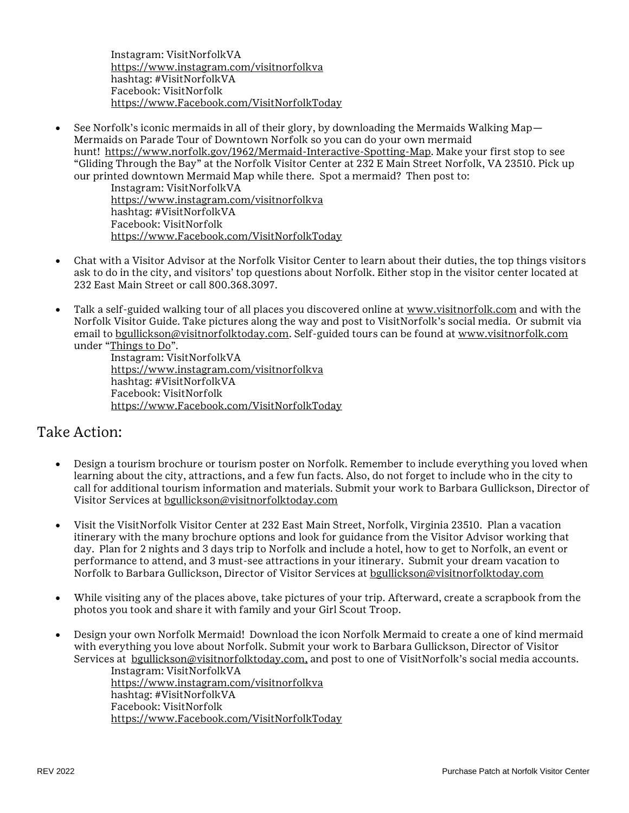Instagram: VisitNorfolkVA <https://www.instagram.com/visitnorfolkva> hashtag: #VisitNorfolkVA Facebook: VisitNorfolk [https://www.Facebook.com/VisitNorfolkToday](https://www.facebook.com/VisitNorfolkToday)

 See Norfolk's iconic mermaids in all of their glory, by downloading the Mermaids Walking Map— Mermaids on Parade Tour of Downtown Norfolk so you can do your own mermaid hunt! [https://www.norfolk.gov/1962/Mermaid-Interactive-Spotting-Map.](https://www.norfolk.gov/1962/Mermaid-Interactive-Spotting-Map) Make your first stop to see "Gliding Through the Bay" at the Norfolk Visitor Center at 232 E Main Street Norfolk, VA 23510. Pick up our printed downtown Mermaid Map while there. Spot a mermaid? Then post to:

Instagram: VisitNorfolkVA <https://www.instagram.com/visitnorfolkva> hashtag: #VisitNorfolkVA Facebook: VisitNorfolk [https://www.Facebook.com/VisitNorfolkToday](https://www.facebook.com/VisitNorfolkToday)

- Chat with a Visitor Advisor at the Norfolk Visitor Center to learn about their duties, the top things visitors ask to do in the city, and visitors' top questions about Norfolk. Either stop in the visitor center located at 232 East Main Street or call 800.368.3097.
- Talk a self-guided walking tour of all places you discovered online at [www.visitnorfolk.com](http://www.visitnorfolk.com/) and with the Norfolk Visitor Guide. Take pictures along the way and post to VisitNorfolk's social media. Or submit via email to [bgullickson@visitnorfolktoday.com.](mailto:bgullickson@visitnorfolktoday.com) Self-guided tours can be found at [www.visitnorfolk.com](http://www.visitnorfolk.com/) under "[Things to Do](https://www.visitnorfolk.com/things-to-do/)".

Instagram: VisitNorfolkVA <https://www.instagram.com/visitnorfolkva> hashtag: #VisitNorfolkVA Facebook: VisitNorfolk [https://www.Facebook.com/VisitNorfolkToday](https://www.facebook.com/VisitNorfolkToday)

### Take Action:

- Design a tourism brochure or tourism poster on Norfolk. Remember to include everything you loved when learning about the city, attractions, and a few fun facts. Also, do not forget to include who in the city to call for additional tourism information and materials. Submit your work to Barbara Gullickson, Director of Visitor Services at [bgullickson@visitnorfolktoday.com](mailto:bgullickson@visitnorfolktoday.com)
- Visit the VisitNorfolk Visitor Center at 232 East Main Street, Norfolk, Virginia 23510. Plan a vacation itinerary with the many brochure options and look for guidance from the Visitor Advisor working that day. Plan for 2 nights and 3 days trip to Norfolk and include a hotel, how to get to Norfolk, an event or performance to attend, and 3 must-see attractions in your itinerary. Submit your dream vacation to Norfolk to Barbara Gullickson, Director of Visitor Services at [bgullickson@visitnorfolktoday.com](mailto:bgullickson@visitnorfolktoday.com)
- While visiting any of the places above, take pictures of your trip. Afterward, create a scrapbook from the photos you took and share it with family and your Girl Scout Troop.
- Design your own Norfolk Mermaid! Download the icon Norfolk Mermaid to create a one of kind mermaid with everything you love about Norfolk. Submit your work to Barbara Gullickson, Director of Visitor Services at [bgullickson@visitnorfolktoday.com,](mailto:bgullickson@visitnorfolktoday.com) and post to one of VisitNorfolk's social media accounts.

Instagram: VisitNorfolkVA <https://www.instagram.com/visitnorfolkva> hashtag: #VisitNorfolkVA Facebook: VisitNorfolk [https://www.Facebook.com/VisitNorfolkToday](https://www.facebook.com/VisitNorfolkToday)